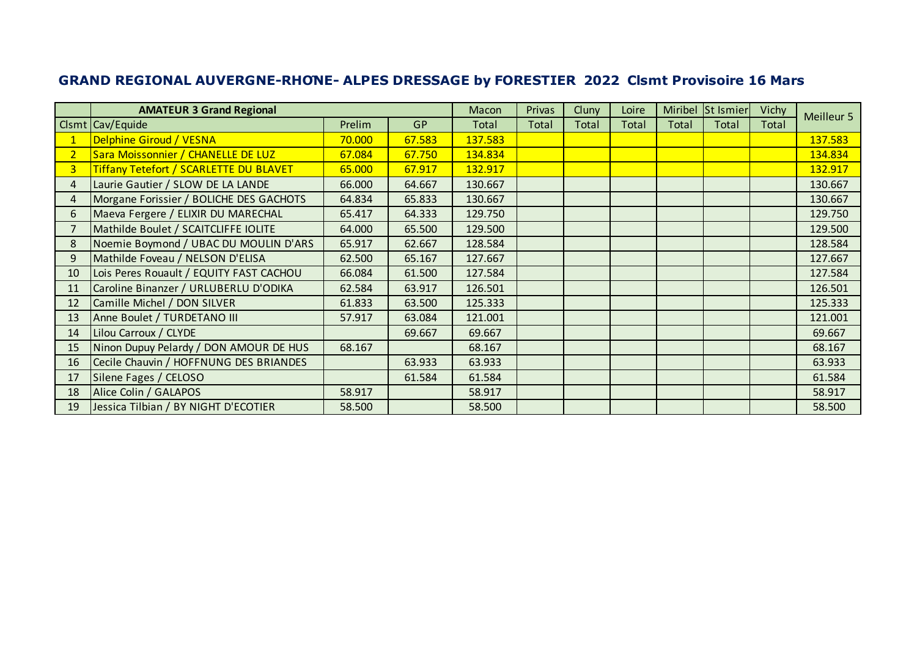|                | <b>AMATEUR 3 Grand Regional</b>               |        |        | Macon   | Privas | Cluny | Loire        |       | Miribel St Ismier | Vichy | Meilleur 5 |
|----------------|-----------------------------------------------|--------|--------|---------|--------|-------|--------------|-------|-------------------|-------|------------|
|                | Clsmt Cav/Equide                              | Prelim | GP     | Total   | Total  | Total | <b>Total</b> | Total | Total             | Total |            |
|                | Delphine Giroud / VESNA                       | 70.000 | 67.583 | 137.583 |        |       |              |       |                   |       | 137.583    |
| $\overline{2}$ | Sara Moissonnier / CHANELLE DE LUZ            | 67.084 | 67.750 | 134.834 |        |       |              |       |                   |       | 134.834    |
| $\overline{3}$ | <b>Tiffany Tetefort / SCARLETTE DU BLAVET</b> | 65.000 | 67.917 | 132.917 |        |       |              |       |                   |       | 132.917    |
| $\overline{4}$ | Laurie Gautier / SLOW DE LA LANDE             | 66.000 | 64.667 | 130.667 |        |       |              |       |                   |       | 130.667    |
| 4              | Morgane Forissier / BOLICHE DES GACHOTS       | 64.834 | 65.833 | 130.667 |        |       |              |       |                   |       | 130.667    |
| 6              | Maeva Fergere / ELIXIR DU MARECHAL            | 65.417 | 64.333 | 129.750 |        |       |              |       |                   |       | 129.750    |
|                | Mathilde Boulet / SCAITCLIFFE IOLITE          | 64.000 | 65.500 | 129.500 |        |       |              |       |                   |       | 129.500    |
| 8              | Noemie Boymond / UBAC DU MOULIN D'ARS         | 65.917 | 62.667 | 128.584 |        |       |              |       |                   |       | 128.584    |
| 9              | Mathilde Foveau / NELSON D'ELISA              | 62.500 | 65.167 | 127.667 |        |       |              |       |                   |       | 127.667    |
| 10             | Lois Peres Rouault / EQUITY FAST CACHOU       | 66.084 | 61.500 | 127.584 |        |       |              |       |                   |       | 127.584    |
| 11             | Caroline Binanzer / URLUBERLU D'ODIKA         | 62.584 | 63.917 | 126.501 |        |       |              |       |                   |       | 126.501    |
| 12             | Camille Michel / DON SILVER                   | 61.833 | 63.500 | 125.333 |        |       |              |       |                   |       | 125.333    |
| 13             | Anne Boulet / TURDETANO III                   | 57.917 | 63.084 | 121.001 |        |       |              |       |                   |       | 121.001    |
| 14             | Lilou Carroux / CLYDE                         |        | 69.667 | 69.667  |        |       |              |       |                   |       | 69.667     |
| 15             | Ninon Dupuy Pelardy / DON AMOUR DE HUS        | 68.167 |        | 68.167  |        |       |              |       |                   |       | 68.167     |
| 16             | Cecile Chauvin / HOFFNUNG DES BRIANDES        |        | 63.933 | 63.933  |        |       |              |       |                   |       | 63.933     |
| 17             | Silene Fages / CELOSO                         |        | 61.584 | 61.584  |        |       |              |       |                   |       | 61.584     |
| 18             | Alice Colin / GALAPOS                         | 58.917 |        | 58.917  |        |       |              |       |                   |       | 58.917     |
| 19             | Jessica Tilbian / BY NIGHT D'ECOTIER          | 58.500 |        | 58.500  |        |       |              |       |                   |       | 58.500     |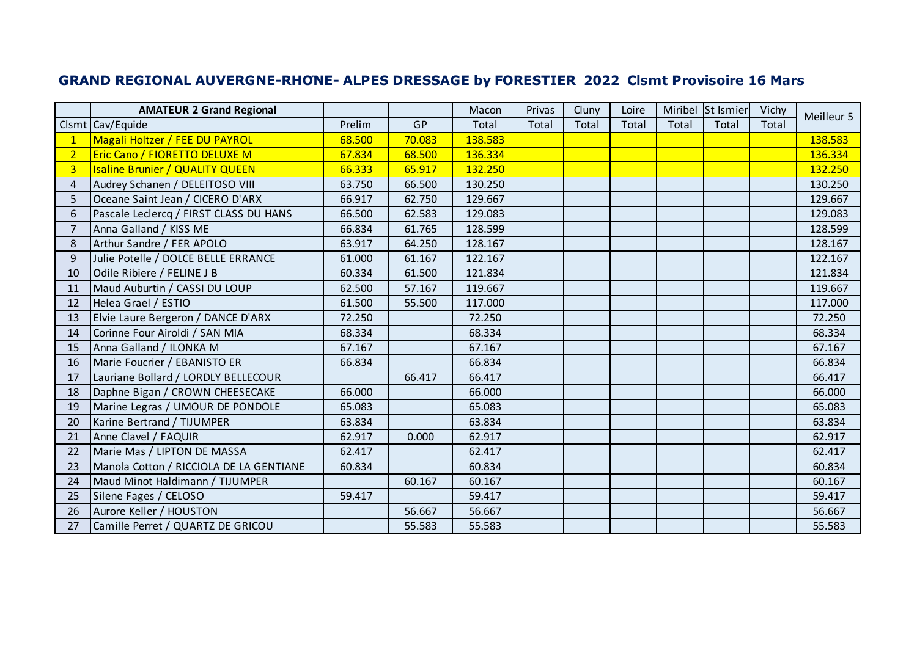|                | <b>AMATEUR 2 Grand Regional</b>         |        |        | Macon   | Privas | Cluny | Loire |       | Miribel St Ismier | Vichy | Meilleur 5 |
|----------------|-----------------------------------------|--------|--------|---------|--------|-------|-------|-------|-------------------|-------|------------|
|                | Clsmt Cav/Equide                        | Prelim | GP     | Total   | Total  | Total | Total | Total | Total             | Total |            |
| $\mathbf{1}$   | Magali Holtzer / FEE DU PAYROL          | 68.500 | 70.083 | 138.583 |        |       |       |       |                   |       | 138.583    |
| $\overline{2}$ | <b>Eric Cano / FIORETTO DELUXE M</b>    | 67.834 | 68.500 | 136.334 |        |       |       |       |                   |       | 136.334    |
| $\overline{3}$ | <b>Isaline Brunier / QUALITY QUEEN</b>  | 66.333 | 65.917 | 132.250 |        |       |       |       |                   |       | 132.250    |
| 4              | Audrey Schanen / DELEITOSO VIII         | 63.750 | 66.500 | 130.250 |        |       |       |       |                   |       | 130.250    |
| 5              | Oceane Saint Jean / CICERO D'ARX        | 66.917 | 62.750 | 129.667 |        |       |       |       |                   |       | 129.667    |
| 6              | Pascale Leclercq / FIRST CLASS DU HANS  | 66.500 | 62.583 | 129.083 |        |       |       |       |                   |       | 129.083    |
| 7              | Anna Galland / KISS ME                  | 66.834 | 61.765 | 128.599 |        |       |       |       |                   |       | 128.599    |
| 8              | Arthur Sandre / FER APOLO               | 63.917 | 64.250 | 128.167 |        |       |       |       |                   |       | 128.167    |
| 9              | Julie Potelle / DOLCE BELLE ERRANCE     | 61.000 | 61.167 | 122.167 |        |       |       |       |                   |       | 122.167    |
| 10             | Odile Ribiere / FELINE J B              | 60.334 | 61.500 | 121.834 |        |       |       |       |                   |       | 121.834    |
| 11             | Maud Auburtin / CASSI DU LOUP           | 62.500 | 57.167 | 119.667 |        |       |       |       |                   |       | 119.667    |
| 12             | Helea Grael / ESTIO                     | 61.500 | 55.500 | 117.000 |        |       |       |       |                   |       | 117.000    |
| 13             | Elvie Laure Bergeron / DANCE D'ARX      | 72.250 |        | 72.250  |        |       |       |       |                   |       | 72.250     |
| 14             | Corinne Four Airoldi / SAN MIA          | 68.334 |        | 68.334  |        |       |       |       |                   |       | 68.334     |
| 15             | Anna Galland / ILONKA M                 | 67.167 |        | 67.167  |        |       |       |       |                   |       | 67.167     |
| 16             | Marie Foucrier / EBANISTO ER            | 66.834 |        | 66.834  |        |       |       |       |                   |       | 66.834     |
| 17             | Lauriane Bollard / LORDLY BELLECOUR     |        | 66.417 | 66.417  |        |       |       |       |                   |       | 66.417     |
| 18             | Daphne Bigan / CROWN CHEESECAKE         | 66.000 |        | 66.000  |        |       |       |       |                   |       | 66.000     |
| 19             | Marine Legras / UMOUR DE PONDOLE        | 65.083 |        | 65.083  |        |       |       |       |                   |       | 65.083     |
| 20             | Karine Bertrand / TIJUMPER              | 63.834 |        | 63.834  |        |       |       |       |                   |       | 63.834     |
| 21             | Anne Clavel / FAQUIR                    | 62.917 | 0.000  | 62.917  |        |       |       |       |                   |       | 62.917     |
| 22             | Marie Mas / LIPTON DE MASSA             | 62.417 |        | 62.417  |        |       |       |       |                   |       | 62.417     |
| 23             | Manola Cotton / RICCIOLA DE LA GENTIANE | 60.834 |        | 60.834  |        |       |       |       |                   |       | 60.834     |
| 24             | Maud Minot Haldimann / TIJUMPER         |        | 60.167 | 60.167  |        |       |       |       |                   |       | 60.167     |
| 25             | Silene Fages / CELOSO                   | 59.417 |        | 59.417  |        |       |       |       |                   |       | 59.417     |
| 26             | Aurore Keller / HOUSTON                 |        | 56.667 | 56.667  |        |       |       |       |                   |       | 56.667     |
| 27             | Camille Perret / QUARTZ DE GRICOU       |        | 55.583 | 55.583  |        |       |       |       |                   |       | 55.583     |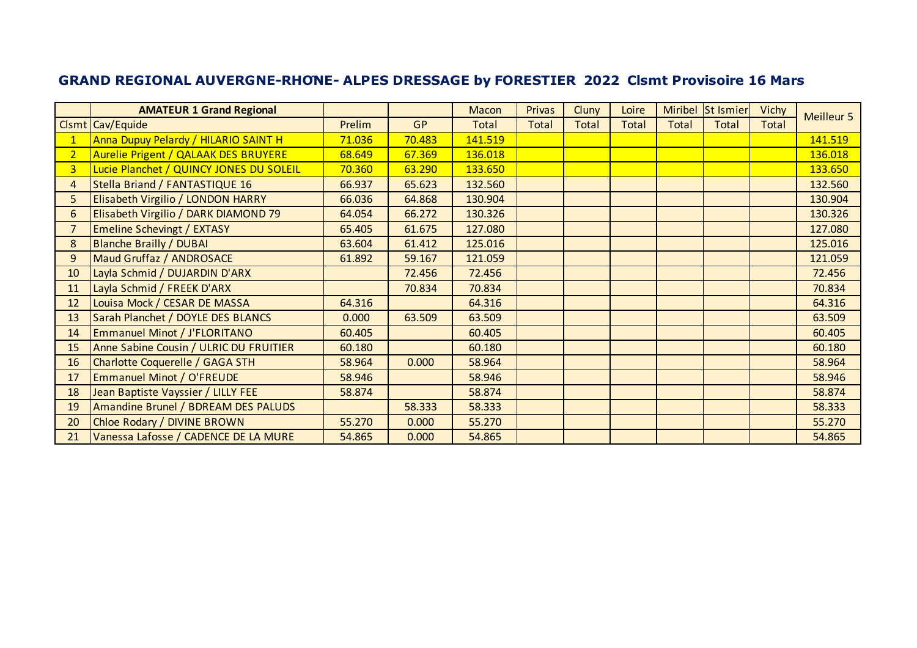|                | <b>AMATEUR 1 Grand Regional</b>         |        |           | Macon   | <b>Privas</b> | Cluny        | Loire        |              | Miribel St Ismier | <b>Vichy</b> | <b>Meilleur 5</b> |
|----------------|-----------------------------------------|--------|-----------|---------|---------------|--------------|--------------|--------------|-------------------|--------------|-------------------|
|                | Clsmt Cav/Equide                        | Prelim | <b>GP</b> | Total   | <b>Total</b>  | <b>Total</b> | <b>Total</b> | <b>Total</b> | <b>Total</b>      | Total        |                   |
| $\mathbf{1}$   | Anna Dupuy Pelardy / HILARIO SAINT H    | 71.036 | 70.483    | 141.519 |               |              |              |              |                   |              | 141.519           |
| $\overline{2}$ | Aurelie Prigent / QALAAK DES BRUYERE    | 68.649 | 67.369    | 136.018 |               |              |              |              |                   |              | 136.018           |
| 3 <sup>1</sup> | Lucie Planchet / QUINCY JONES DU SOLEIL | 70.360 | 63.290    | 133.650 |               |              |              |              |                   |              | 133.650           |
| 4              | Stella Briand / FANTASTIQUE 16          | 66.937 | 65.623    | 132.560 |               |              |              |              |                   |              | 132.560           |
| 5              | Elisabeth Virgilio / LONDON HARRY       | 66.036 | 64.868    | 130.904 |               |              |              |              |                   |              | 130.904           |
| 6              | Elisabeth Virgilio / DARK DIAMOND 79    | 64.054 | 66.272    | 130.326 |               |              |              |              |                   |              | 130.326           |
| 7              | <b>Emeline Schevingt / EXTASY</b>       | 65.405 | 61.675    | 127.080 |               |              |              |              |                   |              | 127.080           |
| 8              | <b>Blanche Brailly / DUBAI</b>          | 63.604 | 61.412    | 125.016 |               |              |              |              |                   |              | 125.016           |
| 9              | Maud Gruffaz / ANDROSACE                | 61.892 | 59.167    | 121.059 |               |              |              |              |                   |              | 121.059           |
| 10             | Layla Schmid / DUJARDIN D'ARX           |        | 72.456    | 72.456  |               |              |              |              |                   |              | 72.456            |
| 11             | Layla Schmid / FREEK D'ARX              |        | 70.834    | 70.834  |               |              |              |              |                   |              | 70.834            |
| 12             | Louisa Mock / CESAR DE MASSA            | 64.316 |           | 64.316  |               |              |              |              |                   |              | 64.316            |
| 13             | Sarah Planchet / DOYLE DES BLANCS       | 0.000  | 63.509    | 63.509  |               |              |              |              |                   |              | 63.509            |
| 14             | <b>Emmanuel Minot / J'FLORITANO</b>     | 60.405 |           | 60.405  |               |              |              |              |                   |              | 60.405            |
| 15             | Anne Sabine Cousin / ULRIC DU FRUITIER  | 60.180 |           | 60.180  |               |              |              |              |                   |              | 60.180            |
| 16             | Charlotte Coquerelle / GAGA STH         | 58.964 | 0.000     | 58.964  |               |              |              |              |                   |              | 58.964            |
| 17             | <b>Emmanuel Minot / O'FREUDE</b>        | 58.946 |           | 58.946  |               |              |              |              |                   |              | 58.946            |
| 18             | Jean Baptiste Vayssier / LILLY FEE      | 58.874 |           | 58.874  |               |              |              |              |                   |              | 58.874            |
| 19             | Amandine Brunel / BDREAM DES PALUDS     |        | 58.333    | 58.333  |               |              |              |              |                   |              | 58.333            |
| 20             | Chloe Rodary / DIVINE BROWN             | 55.270 | 0.000     | 55.270  |               |              |              |              |                   |              | 55.270            |
| 21             | Vanessa Lafosse / CADENCE DE LA MURE    | 54.865 | 0.000     | 54.865  |               |              |              |              |                   |              | 54.865            |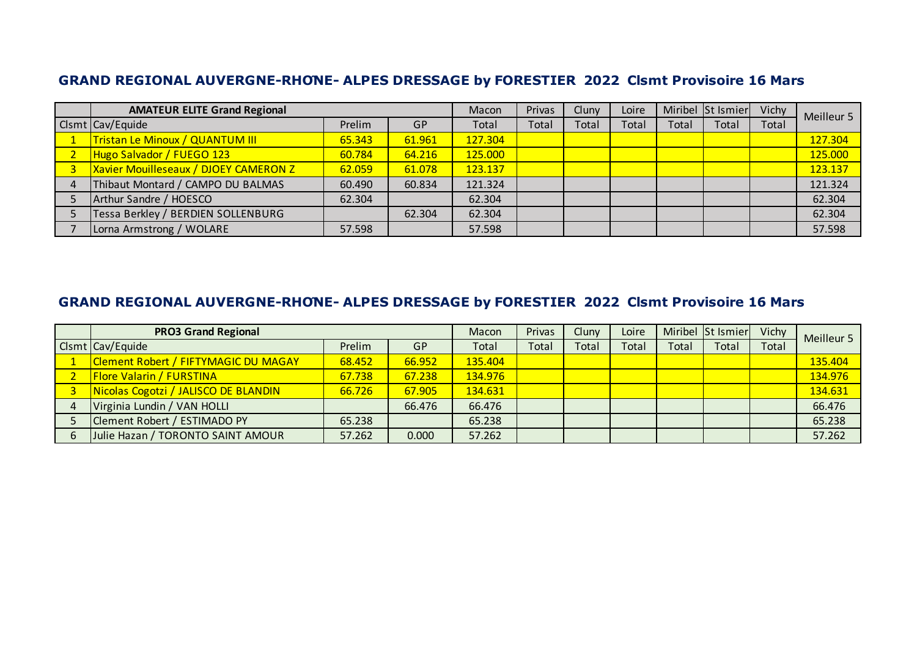| <b>AMATEUR ELITE Grand Regional</b>          |        |        | Macon   | Privas | Cluny | Loire |       | Miribel St Ismier | Vichy | Meilleur 5 |
|----------------------------------------------|--------|--------|---------|--------|-------|-------|-------|-------------------|-------|------------|
| Clsmt Cav/Equide                             | Prelim | GP     | Total   | Total  | Total | Total | Total | Total             | Total |            |
| Tristan Le Minoux / QUANTUM III              | 65.343 | 61.961 | 127.304 |        |       |       |       |                   |       | 127.304    |
| Hugo Salvador / FUEGO 123                    | 60.784 | 64.216 | 125.000 |        |       |       |       |                   |       | 125.000    |
| <b>Xavier Mouilleseaux / DJOEY CAMERON Z</b> | 62.059 | 61.078 | 123.137 |        |       |       |       |                   |       | 123.137    |
| Thibaut Montard / CAMPO DU BALMAS            | 60.490 | 60.834 | 121.324 |        |       |       |       |                   |       | 121.324    |
| Arthur Sandre / HOESCO                       | 62.304 |        | 62.304  |        |       |       |       |                   |       | 62.304     |
| Tessa Berkley / BERDIEN SOLLENBURG           |        | 62.304 | 62.304  |        |       |       |       |                   |       | 62.304     |
| Lorna Armstrong / WOLARE                     | 57.598 |        | 57.598  |        |       |       |       |                   |       | 57.598     |

| <b>PRO3 Grand Regional</b>           |        |           | Macon   | Privas | Cluny | Loire |       | Miribel St Ismier | Vichy | Meilleur 5 |
|--------------------------------------|--------|-----------|---------|--------|-------|-------|-------|-------------------|-------|------------|
| Clsmt Cav/Equide                     | Prelim | <b>GP</b> | Total   | Total  | Total | Total | Total | Total             | Total |            |
| Clement Robert / FIFTYMAGIC DU MAGAY | 68.452 | 66.952    | 135.404 |        |       |       |       |                   |       | 135.404    |
| <b>Flore Valarin / FURSTINA</b>      | 67.738 | 67.238    | 134.976 |        |       |       |       |                   |       | 134.976    |
| Nicolas Cogotzi / JALISCO DE BLANDIN | 66.726 | 67.905    | 134.631 |        |       |       |       |                   |       | 134.631    |
| Virginia Lundin / VAN HOLLI          |        | 66.476    | 66.476  |        |       |       |       |                   |       | 66.476     |
| Clement Robert / ESTIMADO PY         | 65.238 |           | 65.238  |        |       |       |       |                   |       | 65.238     |
| Julie Hazan / TORONTO SAINT AMOUR    | 57.262 | 0.000     | 57.262  |        |       |       |       |                   |       | 57.262     |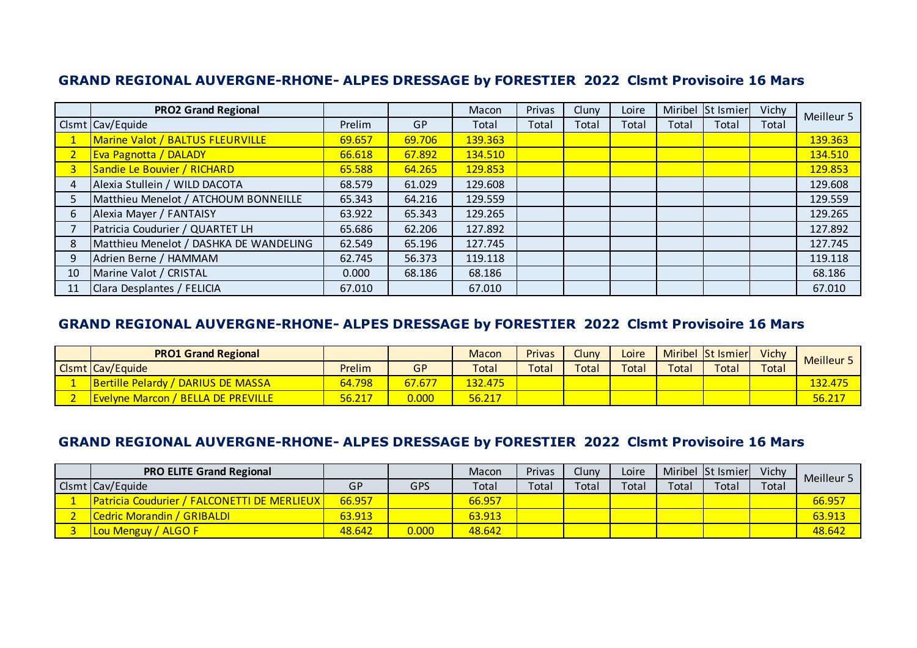|    | <b>PRO2 Grand Regional</b>             |        |        | Macon   | Privas | Cluny | Loire |       | Miribel St Ismier | Vichy | Meilleur 5 |
|----|----------------------------------------|--------|--------|---------|--------|-------|-------|-------|-------------------|-------|------------|
|    | Clsmt Cav/Equide                       | Prelim | GP     | Total   | Total  | Total | Total | Total | Total             | Total |            |
|    | Marine Valot / BALTUS FLEURVILLE       | 69.657 | 69.706 | 139.363 |        |       |       |       |                   |       | 139.363    |
|    | <b>Eva Pagnotta / DALADY</b>           | 66.618 | 67.892 | 134.510 |        |       |       |       |                   |       | 134.510    |
|    | Sandie Le Bouvier / RICHARD            | 65.588 | 64.265 | 129.853 |        |       |       |       |                   |       | 129.853    |
|    | Alexia Stullein / WILD DACOTA          | 68.579 | 61.029 | 129.608 |        |       |       |       |                   |       | 129.608    |
|    | Matthieu Menelot / ATCHOUM BONNEILLE   | 65.343 | 64.216 | 129.559 |        |       |       |       |                   |       | 129.559    |
| 6  | Alexia Mayer / FANTAISY                | 63.922 | 65.343 | 129.265 |        |       |       |       |                   |       | 129.265    |
|    | Patricia Coudurier / QUARTET LH        | 65.686 | 62.206 | 127.892 |        |       |       |       |                   |       | 127.892    |
| 8  | Matthieu Menelot / DASHKA DE WANDELING | 62.549 | 65.196 | 127.745 |        |       |       |       |                   |       | 127.745    |
| 9  | Adrien Berne / HAMMAM                  | 62.745 | 56.373 | 119.118 |        |       |       |       |                   |       | 119.118    |
| 10 | Marine Valot / CRISTAL                 | 0.000  | 68.186 | 68.186  |        |       |       |       |                   |       | 68.186     |
| 11 | Clara Desplantes / FELICIA             | 67.010 |        | 67.010  |        |       |       |       |                   |       | 67.010     |

### **GRAND REGIONAL AUVERGNE-RHONE- ALPES DRESSAGE by FORESTIER 2022 Clsmt Provisoire 16 Mars**

| <b>PRO1 Grand Regional</b>                |        |        | Macon                | <b>Privas</b> | Cluny                  | Loire |       | Miribel St Ismier | Vichy | Meilleur 5 |
|-------------------------------------------|--------|--------|----------------------|---------------|------------------------|-------|-------|-------------------|-------|------------|
| Clsmt Cav/Equide                          | Prelim | GP     | Total                | Total         | $\tau$ <sub>otal</sub> | Total | Total | Total             | Total |            |
| Bertille Pelardy / DARIUS DE MASSA        | 64.798 | 67.677 | <mark>132.475</mark> |               |                        |       |       |                   |       | 132.475    |
| <b>Evelyne Marcon / BELLA DE PREVILLE</b> | 56.217 | 0.000  | 56.217               |               |                        |       |       |                   |       | 56.217     |

| <b>PRO ELITE Grand Regional</b>                    |        |       | Macon  | Privas | Cluny       | Loire |       | Miribel St Ismier | Vichy | Meilleur 5 |
|----------------------------------------------------|--------|-------|--------|--------|-------------|-------|-------|-------------------|-------|------------|
| Clsmt Cav/Equide                                   | GP     | GPS   | Total  | Total  | $\tau$ otal | Total | Total | Tota <sub>i</sub> | Total |            |
| <b>Patricia Coudurier / FALCONETTI DE MERLIEUX</b> | 66.957 |       | 66.957 |        |             |       |       |                   |       | 66.957     |
| <b>Cedric Morandin / GRIBALDI</b>                  | 63.913 |       | 63.913 |        |             |       |       |                   |       | 63.913     |
| <b>Lou Menguy / ALGO F</b>                         | 48.642 | 0.000 | 48.642 |        |             |       |       |                   |       | 48.642     |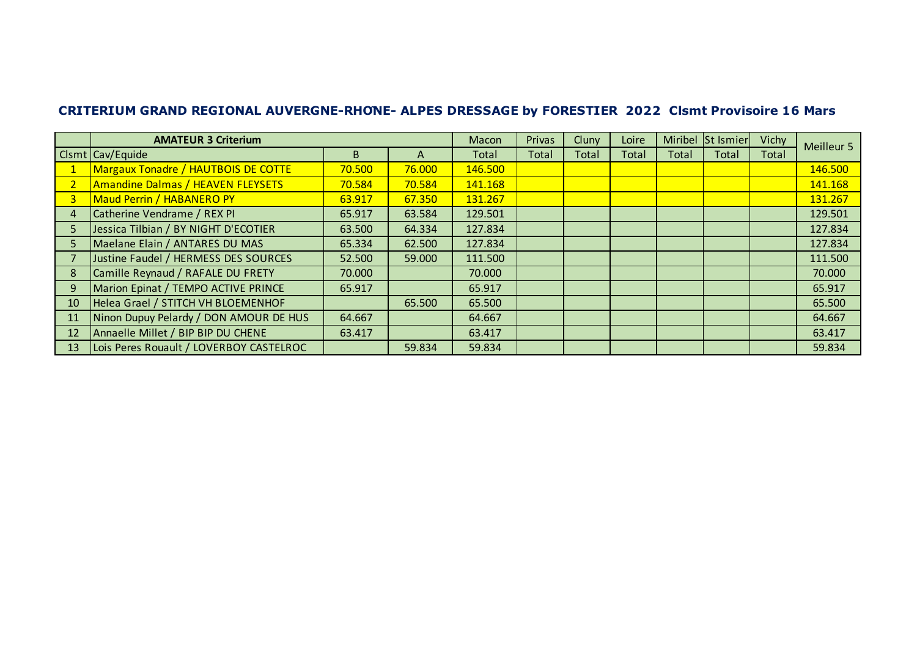|    | <b>AMATEUR 3 Criterium</b>              |        |        | Macon   | Privas | Cluny | Loire | Miribel | St Ismier | Vichy | Meilleur 5 |
|----|-----------------------------------------|--------|--------|---------|--------|-------|-------|---------|-----------|-------|------------|
|    | Clsmt Cav/Equide                        | B.     | A      | Total   | Total  | Total | Total | Total   | Total     | Total |            |
|    | Margaux Tonadre / HAUTBOIS DE COTTE     | 70.500 | 76.000 | 146.500 |        |       |       |         |           |       | 146.500    |
|    | Amandine Dalmas / HEAVEN FLEYSETS       | 70.584 | 70.584 | 141.168 |        |       |       |         |           |       | 141.168    |
| 3  | Maud Perrin / HABANERO PY               | 63.917 | 67.350 | 131.267 |        |       |       |         |           |       | 131.267    |
|    | Catherine Vendrame / REX PI             | 65.917 | 63.584 | 129.501 |        |       |       |         |           |       | 129.501    |
|    | Jessica Tilbian / BY NIGHT D'ECOTIER    | 63.500 | 64.334 | 127.834 |        |       |       |         |           |       | 127.834    |
| 5  | Maelane Elain / ANTARES DU MAS          | 65.334 | 62.500 | 127.834 |        |       |       |         |           |       | 127.834    |
|    | Justine Faudel / HERMESS DES SOURCES    | 52.500 | 59.000 | 111.500 |        |       |       |         |           |       | 111.500    |
| 8  | Camille Reynaud / RAFALE DU FRETY       | 70.000 |        | 70.000  |        |       |       |         |           |       | 70.000     |
| 9  | Marion Epinat / TEMPO ACTIVE PRINCE     | 65.917 |        | 65.917  |        |       |       |         |           |       | 65.917     |
| 10 | Helea Grael / STITCH VH BLOEMENHOF      |        | 65.500 | 65.500  |        |       |       |         |           |       | 65.500     |
| 11 | Ninon Dupuy Pelardy / DON AMOUR DE HUS  | 64.667 |        | 64.667  |        |       |       |         |           |       | 64.667     |
| 12 | Annaelle Millet / BIP BIP DU CHENE      | 63.417 |        | 63.417  |        |       |       |         |           |       | 63.417     |
| 13 | Lois Peres Rouault / LOVERBOY CASTELROC |        | 59.834 | 59.834  |        |       |       |         |           |       | 59.834     |